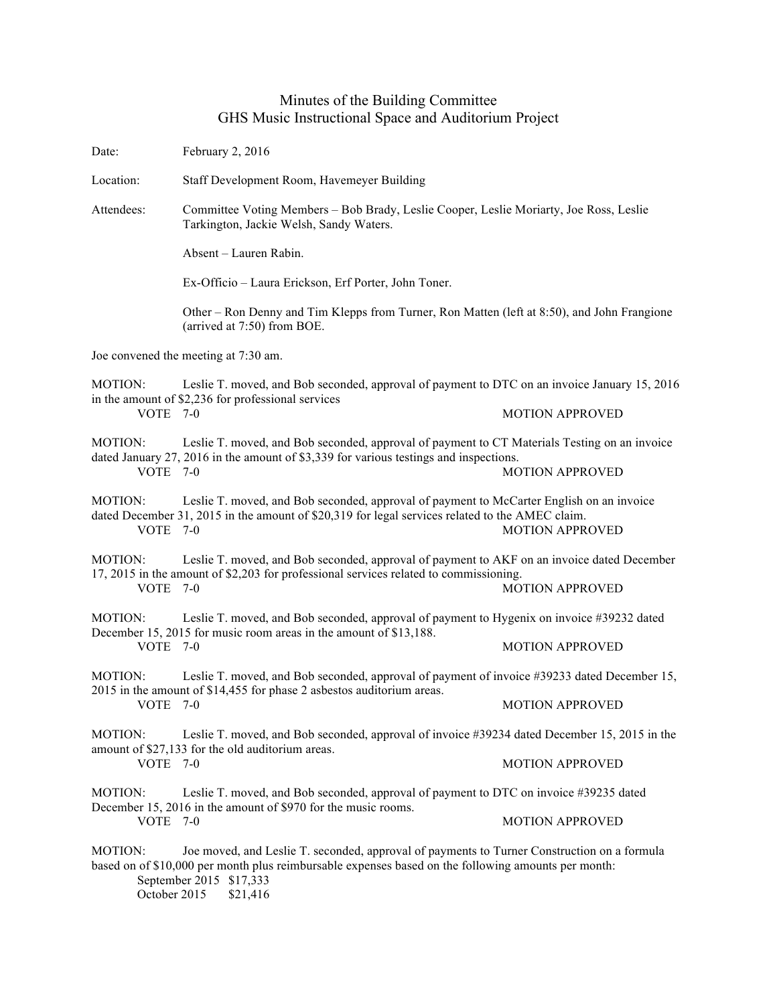## Minutes of the Building Committee GHS Music Instructional Space and Auditorium Project

Date: February 2, 2016 Location: Staff Development Room, Havemeyer Building Attendees: Committee Voting Members – Bob Brady, Leslie Cooper, Leslie Moriarty, Joe Ross, Leslie Tarkington, Jackie Welsh, Sandy Waters. Absent – Lauren Rabin. Ex-Officio – Laura Erickson, Erf Porter, John Toner. Other – Ron Denny and Tim Klepps from Turner, Ron Matten (left at 8:50), and John Frangione (arrived at 7:50) from BOE. Joe convened the meeting at 7:30 am. MOTION: Leslie T. moved, and Bob seconded, approval of payment to DTC on an invoice January 15, 2016 in the amount of \$2,236 for professional services VOTE 7-0 MOTION APPROVED MOTION: Leslie T. moved, and Bob seconded, approval of payment to CT Materials Testing on an invoice dated January 27, 2016 in the amount of \$3,339 for various testings and inspections. VOTE 7-0 MOTION APPROVED MOTION: Leslie T. moved, and Bob seconded, approval of payment to McCarter English on an invoice dated December 31, 2015 in the amount of \$20,319 for legal services related to the AMEC claim. VOTE 7-0 MOTION APPROVED MOTION: Leslie T. moved, and Bob seconded, approval of payment to AKF on an invoice dated December 17, 2015 in the amount of \$2,203 for professional services related to commissioning. VOTE 7-0 MOTION APPROVED MOTION: Leslie T. moved, and Bob seconded, approval of payment to Hygenix on invoice #39232 dated December 15, 2015 for music room areas in the amount of \$13,188. VOTE 7-0 MOTION APPROVED MOTION: Leslie T. moved, and Bob seconded, approval of payment of invoice #39233 dated December 15, 2015 in the amount of \$14,455 for phase 2 asbestos auditorium areas. VOTE 7-0 MOTION APPROVED MOTION: Leslie T. moved, and Bob seconded, approval of invoice #39234 dated December 15, 2015 in the amount of \$27,133 for the old auditorium areas. VOTE 7-0 MOTION APPROVED MOTION: Leslie T. moved, and Bob seconded, approval of payment to DTC on invoice #39235 dated December 15, 2016 in the amount of \$970 for the music rooms. VOTE 7-0 MOTION APPROVED MOTION: Joe moved, and Leslie T. seconded, approval of payments to Turner Construction on a formula based on of \$10,000 per month plus reimbursable expenses based on the following amounts per month: September 2015 \$17,333 October 2015 \$21,416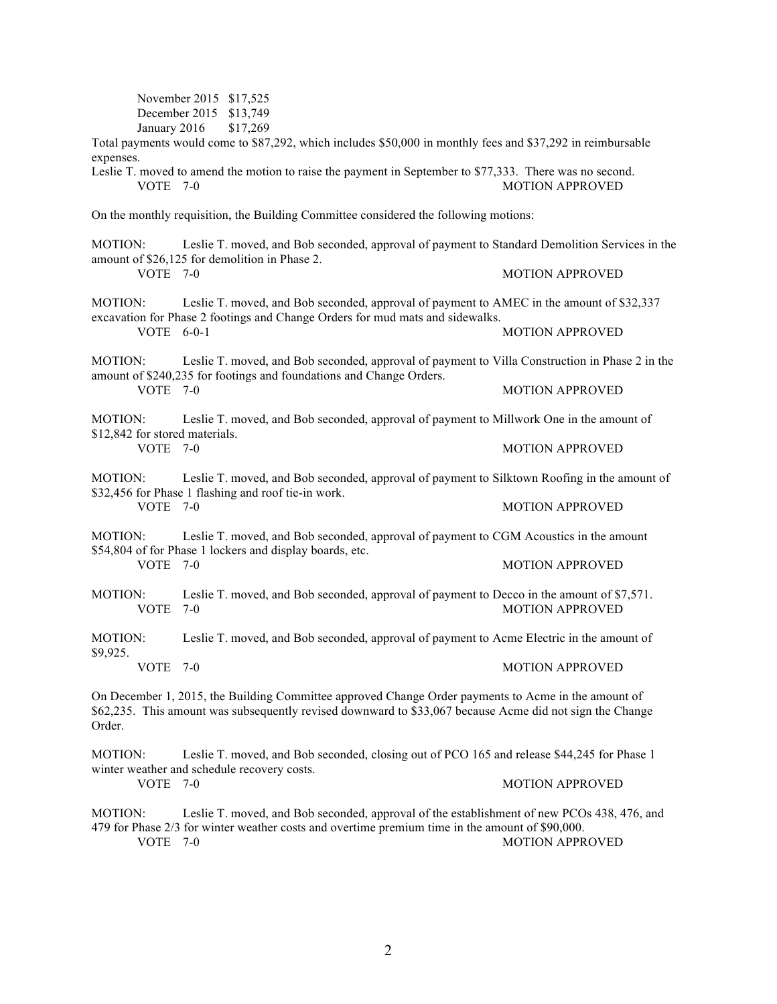November 2015 \$17,525 December 2015 \$13,749 January 2016 \$17,269 Total payments would come to \$87,292, which includes \$50,000 in monthly fees and \$37,292 in reimbursable expenses. Leslie T. moved to amend the motion to raise the payment in September to \$77,333. There was no second. VOTE 7-0 MOTION APPROVED On the monthly requisition, the Building Committee considered the following motions: MOTION: Leslie T. moved, and Bob seconded, approval of payment to Standard Demolition Services in the amount of \$26,125 for demolition in Phase 2. VOTE 7-0 MOTION APPROVED MOTION: Leslie T. moved, and Bob seconded, approval of payment to AMEC in the amount of \$32,337 excavation for Phase 2 footings and Change Orders for mud mats and sidewalks. VOTE 6-0-1 MOTION APPROVED MOTION: Leslie T. moved, and Bob seconded, approval of payment to Villa Construction in Phase 2 in the amount of \$240,235 for footings and foundations and Change Orders. **MOTION APPROVED** MOTION: Leslie T. moved, and Bob seconded, approval of payment to Millwork One in the amount of \$12,842 for stored materials. VOTE 7-0 MOTION APPROVED MOTION: Leslie T. moved, and Bob seconded, approval of payment to Silktown Roofing in the amount of \$32,456 for Phase 1 flashing and roof tie-in work. VOTE 7-0 MOTION APPROVED MOTION: Leslie T. moved, and Bob seconded, approval of payment to CGM Acoustics in the amount \$54,804 of for Phase 1 lockers and display boards, etc. VOTE 7-0 MOTION APPROVED MOTION: Leslie T. moved, and Bob seconded, approval of payment to Decco in the amount of \$7,571. VOTE 7-0 MOTION APPROVED MOTION: Leslie T. moved, and Bob seconded, approval of payment to Acme Electric in the amount of \$9,925. VOTE 7-0 MOTION APPROVED On December 1, 2015, the Building Committee approved Change Order payments to Acme in the amount of \$62,235. This amount was subsequently revised downward to \$33,067 because Acme did not sign the Change Order. MOTION: Leslie T. moved, and Bob seconded, closing out of PCO 165 and release \$44,245 for Phase 1 winter weather and schedule recovery costs. VOTE 7-0 MOTION APPROVED

MOTION: Leslie T. moved, and Bob seconded, approval of the establishment of new PCOs 438, 476, and 479 for Phase 2/3 for winter weather costs and overtime premium time in the amount of \$90,000. VOTE 7-0 MOTION APPROVED